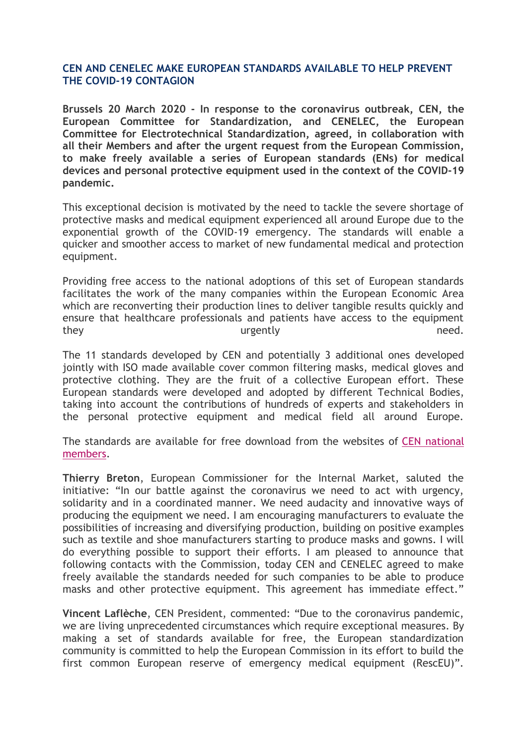## **CEN AND CENELEC MAKE EUROPEAN STANDARDS AVAILABLE TO HELP PREVENT THE COVID-19 CONTAGION**

**Brussels 20 March 2020 - In response to the coronavirus outbreak, CEN, the European Committee for Standardization, and CENELEC, the European Committee for Electrotechnical Standardization, agreed, in collaboration with all their Members and after the urgent request from the European Commission, to make freely available a series of European standards (ENs) for medical devices and personal protective equipment used in the context of the COVID-19 pandemic.**

This exceptional decision is motivated by the need to tackle the severe shortage of protective masks and medical equipment experienced all around Europe due to the exponential growth of the COVID-19 emergency. The standards will enable a quicker and smoother access to market of new fundamental medical and protection equipment.

Providing free access to the national adoptions of this set of European standards facilitates the work of the many companies within the European Economic Area which are reconverting their production lines to deliver tangible results quickly and ensure that healthcare professionals and patients have access to the equipment they need. The urgently need.

The 11 standards developed by CEN and potentially 3 additional ones developed jointly with ISO made available cover common filtering masks, medical gloves and protective clothing. They are the fruit of a collective European effort. These European standards were developed and adopted by different Technical Bodies, taking into account the contributions of hundreds of experts and stakeholders in the personal protective equipment and medical field all around Europe.

The standards are available for free download from the websites of CEN [national](https://standards.cen.eu/dyn/www/f?p=CENWEB:5:::NO:::) [members.](https://standards.cen.eu/dyn/www/f?p=CENWEB:5:::NO:::)

**Thierry Breton**, European Commissioner for the Internal Market, saluted the initiative: "In our battle against the coronavirus we need to act with urgency, solidarity and in a coordinated manner. We need audacity and innovative ways of producing the equipment we need. I am encouraging manufacturers to evaluate the possibilities of increasing and diversifying production, building on positive examples such as textile and shoe manufacturers starting to produce masks and gowns. I will do everything possible to support their efforts. I am pleased to announce that following contacts with the Commission, today CEN and CENELEC agreed to make freely available the standards needed for such companies to be able to produce masks and other protective equipment. This agreement has immediate effect."

**Vincent Laflèche**, CEN President, commented: "Due to the coronavirus pandemic, we are living unprecedented circumstances which require exceptional measures. By making a set of standards available for free, the European standardization community is committed to help the European Commission in its effort to build the first common European reserve of emergency medical equipment (RescEU)".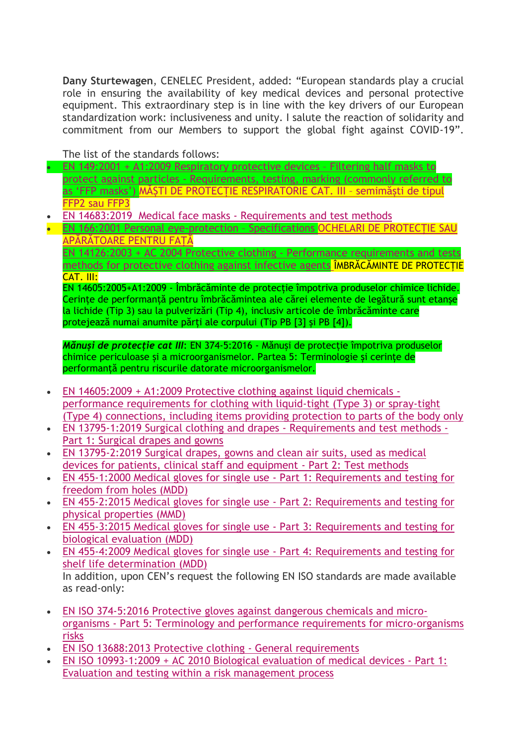**Dany Sturtewagen**, CENELEC President, added: "European standards play a crucial role in ensuring the availability of key medical devices and personal protective equipment. This extraordinary step is in line with the key drivers of our European standardization work: inclusiveness and unity. I salute the reaction of solidarity and commitment from our Members to support the global fight against COVID-19".

The list of the standards follows:

- EN 149:2001 + A1:2009 [Respiratory](https://standards.cen.eu/dyn/www/f?p=204:110:0::::FSP_PROJECT:32928&cs=1B0AB06FEB70E43960D46D1198C37CC09) protective devices Filtering half masks to protect against particles - [Requirements,](https://standards.cen.eu/dyn/www/f?p=204:110:0::::FSP_PROJECT:32928&cs=1B0AB06FEB70E43960D46D1198C37CC09) testing, marking (commonly referred to as "FFP [masks"\)](https://standards.cen.eu/dyn/www/f?p=204:110:0::::FSP_PROJECT:32928&cs=1B0AB06FEB70E43960D46D1198C37CC09) MĂȘTI DE PROTECȚIE RESPIRATORIE CAT. III – semimăști de tipul FFP2 sau FFP3
- EN 14683:2019 Medical face masks [Requirements](https://eur01.safelinks.protection.outlook.com/?url=https://standards.cen.eu/dyn/www/f?p%3D204:110:0::::FSP_PROJECT:69675%26cs%3D1956C06A1BAF887FF462DD56057D34F29&data=02|01|cmissiroli@cencenelec.eu|4992b0376a8f4e4c407008d7cb1dfb28|ccf5775126f1429c87578729c8e9e995|0|0|637201201937253960&sdata=sQggwdUzwd/YNMBrZBx1NQzF8ym2hJrLOFwIcaKXltw%3D&reserved=0) and test methods
- EN 166:2001 Personal [eye-protection](https://standards.cen.eu/dyn/www/f?p=204:110:0::::FSP_PROJECT,FSP_ORG_ID:2080,6068&cs=17AA55E632AC1CD384E0EC575FCAD517C) Specifications OCHELARI DE PROTECȚIE SAU APĂRĂTOARE PENTRU FAȚĂ

EN 14126:2003 + AC 2004 Protective clothing - Performance [requirements](https://standards.cen.eu/dyn/www/f?p=204:110:0::::FSP_PROJECT,FSP_ORG_ID:6634,6143&cs=1762F21421CCAB5CDFA53171933C67440) and tests methods for [protective](https://standards.cen.eu/dyn/www/f?p=204:110:0::::FSP_PROJECT,FSP_ORG_ID:6634,6143&cs=1762F21421CCAB5CDFA53171933C67440) clothing against infective agents ÎMBRĂCĂMINTE DE PROTECȚIE CAT. III:

EN 14605:2005+A1:2009 - Îmbrăcăminte de protecție împotriva produselor chimice lichide. Cerinte de performanță pentru îmbrăcămintea ale cărei elemente de legătură sunt etanșe la lichide (Tip 3) sau la pulverizări (Tip 4), inclusiv articole de îmbrăcăminte care protejează numai anumite părți ale corpului (Tip PB [3] și PB [4]).

*Mănuși de protecție cat III*: EN 374-5:2016 - Mănuși de protecție împotriva produselor chimice periculoase și a microorganismelor. Partea 5: Terminologie și cerințe de performanță pentru riscurile datorate microorganismelor.

- EN [14605:2009](https://standards.cen.eu/dyn/www/f?p=204:110:0::::FSP_PROJECT,FSP_ORG_ID:32983,6143&cs=1868F123B185CBECCA30C484231EB9233) + A1:2009 Protective clothing against liquid chemicals performance [requirements](https://standards.cen.eu/dyn/www/f?p=204:110:0::::FSP_PROJECT,FSP_ORG_ID:32983,6143&cs=1868F123B185CBECCA30C484231EB9233) for clothing with liquid-tight (Type 3) or spray-tight (Type 4) [connections,](https://standards.cen.eu/dyn/www/f?p=204:110:0::::FSP_PROJECT,FSP_ORG_ID:32983,6143&cs=1868F123B185CBECCA30C484231EB9233) including items providing protection to parts of the body only
- EN 13795-1:2019 Surgical clothing and drapes [Requirements](https://standards.cen.eu/dyn/www/f?p=204:110:0::::FSP_PROJECT,FSP_ORG_ID:37931,6186&cs=140BACFC46E210464C9285A588FB51335) and test methods Part 1: [Surgical](https://standards.cen.eu/dyn/www/f?p=204:110:0::::FSP_PROJECT,FSP_ORG_ID:37931,6186&cs=140BACFC46E210464C9285A588FB51335) drapes and gowns
- EN [13795-2:2019](https://standards.cen.eu/dyn/www/f?p=204:110:0::::FSP_PROJECT,FSP_ORG_ID:37932,6186&cs=1B81482196B6350C2216C75AD9ADE1125) Surgical drapes, gowns and clean air suits, used as medical devices for patients, clinical staff and [equipment](https://standards.cen.eu/dyn/www/f?p=204:110:0::::FSP_PROJECT,FSP_ORG_ID:37932,6186&cs=1B81482196B6350C2216C75AD9ADE1125) - Part 2: Test methods
- EN 455-1:2000 Medical gloves for single use Part 1: [Requirements](https://standards.cen.eu/dyn/www/f?p=204:110:0::::FSP_PROJECT,FSP_ORG_ID:9434,6186&cs=1055F7903C46D8F71F0E79395BE7740D8) and testing for [freedom](https://standards.cen.eu/dyn/www/f?p=204:110:0::::FSP_PROJECT,FSP_ORG_ID:9434,6186&cs=1055F7903C46D8F71F0E79395BE7740D8) from holes (MDD)
- EN 455-2:2015 Medical gloves for single use Part 2: [Requirements](https://standards.cen.eu/dyn/www/f?p=204:110:0::::FSP_PROJECT,FSP_ORG_ID:35266,6186&cs=12E9FE3435C94205908EA5CCA48D43953) and testing for physical [properties](https://standards.cen.eu/dyn/www/f?p=204:110:0::::FSP_PROJECT,FSP_ORG_ID:35266,6186&cs=12E9FE3435C94205908EA5CCA48D43953) (MMD)
- EN 455-3:2015 Medical gloves for single use Part 3: [Requirements](https://standards.cen.eu/dyn/www/f?p=204:110:0::::FSP_PROJECT,FSP_ORG_ID:37147,6186&cs=1E4761E51ADEE40870128D1F51B28EC61) and testing for biological [evaluation](https://standards.cen.eu/dyn/www/f?p=204:110:0::::FSP_PROJECT,FSP_ORG_ID:37147,6186&cs=1E4761E51ADEE40870128D1F51B28EC61) (MDD)
- EN 455-4:2009 Medical gloves for single use Part 4: [Requirements](https://standards.cen.eu/dyn/www/f?p=204:110:0::::FSP_PROJECT,FSP_ORG_ID:26420,6186&cs=1BA98FB4EB88B7DB06C5D281EB3BABC64) and testing for shelf life [determination](https://standards.cen.eu/dyn/www/f?p=204:110:0::::FSP_PROJECT,FSP_ORG_ID:26420,6186&cs=1BA98FB4EB88B7DB06C5D281EB3BABC64) (MDD) In addition, upon CEN"s request the following EN ISO standards are made available
- EN ISO [374-5:2016](https://standards.cen.eu/dyn/www/f?p=204:110:0::::FSP_PROJECT,FSP_ORG_ID:40946,6143&cs=104F37C9F2C895BD53319E6F24A0CD261) Protective gloves against dangerous chemicals and microorganisms - Part 5: Terminology and performance requirements for [micro-organisms](https://standards.cen.eu/dyn/www/f?p=204:110:0::::FSP_PROJECT,FSP_ORG_ID:40946,6143&cs=104F37C9F2C895BD53319E6F24A0CD261) [risks](https://standards.cen.eu/dyn/www/f?p=204:110:0::::FSP_PROJECT,FSP_ORG_ID:40946,6143&cs=104F37C9F2C895BD53319E6F24A0CD261)
- EN ISO 13688:2013 Protective clothing General [requirements](https://standards.cen.eu/dyn/www/f?p=204:110:0::::FSP_PROJECT,FSP_ORG_ID:31126,6143&cs=1330185F3C56516F288C2B1A330A1A1C1)

as read-only:

 EN ISO [10993-1:2009](https://standards.cen.eu/dyn/www/f?p=204:110:0::::FSP_PROJECT,FSP_ORG_ID:27092,6187&cs=18C664CF8D89F01255897FFC3DC744216) + AC 2010 Biological evaluation of medical devices - Part 1: Evaluation and testing within a risk [management](https://standards.cen.eu/dyn/www/f?p=204:110:0::::FSP_PROJECT,FSP_ORG_ID:27092,6187&cs=18C664CF8D89F01255897FFC3DC744216) process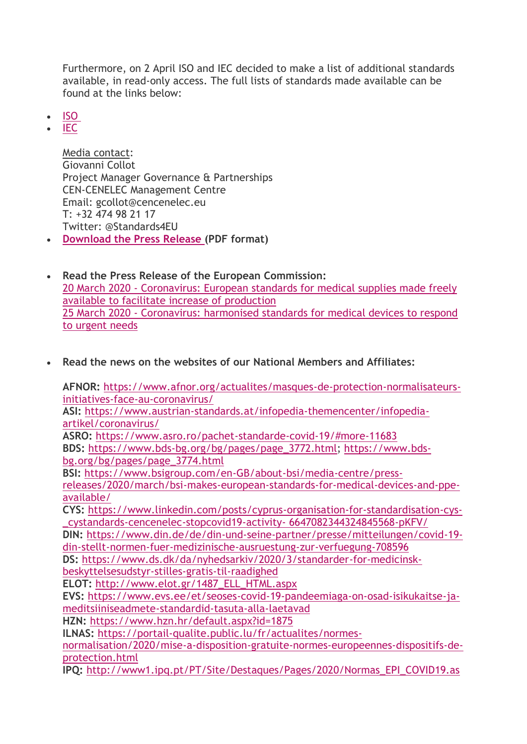Furthermore, on 2 April ISO and IEC decided to make a list of additional standards available, in read-only access. The full lists of standards made available can be found at the links below:

- [ISO](https://eur01.safelinks.protection.outlook.com/?url=https://www.iso.org/covid19&data=02|01|aazifi@cencenelec.eu|a0e6296361f54c541dca08d7dad1f99b|ccf5775126f1429c87578729c8e9e995|0|0|637218468071158271&sdata=v/fDWqOansR1iQnvvnu4pZ1aPjd3oWTysn5Sejb131g%3D&reserved=0)
- [IEC](https://eur01.safelinks.protection.outlook.com/?url=https://webstore.iec.ch/webstore/webstore.nsf/xpFAQ.xsp?OpenXPage%26id%3DGFOT-BNAEXA&data=02|01|aazifi@cencenelec.eu|a0e6296361f54c541dca08d7dad1f99b|ccf5775126f1429c87578729c8e9e995|0|0|637218468071158271&sdata=85H5mopB2Wg26zKWmYBhs0kf//twnZmsXXKcVls9%2BVU%3D&reserved=0)

Media contact: Giovanni Collot Project Manager Governance & Partnerships CEN-CENELEC Management Centre Email: gcollot@cencenelec.eu T: +32 474 98 21 17 Twitter: @Standards4EU

- **[Download](https://www.cencenelec.eu/news/press_releases/Documents/PR_ENs%20coronavirus_FINAL_V3%20-%20for%20print.pdf) the Press Release (PDF format)**
- **Read the Press Release of the European Commission:** 20 March 2020 - [Coronavirus:](https://ec.europa.eu/commission/presscorner/detail/en/ip_20_502) European standards for medical supplies made freely available to facilitate increase of [production](https://ec.europa.eu/commission/presscorner/detail/en/ip_20_502) 25 March 2020 - [Coronavirus:](https://ec.europa.eu/commission/presscorner/detail/en/ip_20_522) harmonised standards for medical devices to respond to [urgent](https://ec.europa.eu/commission/presscorner/detail/en/ip_20_522) needs
- **Read the news on the websites of our National Members and Affiliates:**

**AFNOR:** [https://www.afnor.org/actualites/masques-de-protection-normalisateurs](https://www.afnor.org/actualites/masques-de-protection-normalisateurs-initiatives-face-au-coronavirus/)[initiatives-face-au-coronavirus/](https://www.afnor.org/actualites/masques-de-protection-normalisateurs-initiatives-face-au-coronavirus/)

**ASI:** [https://www.austrian-standards.at/infopedia-themencenter/infopedia](https://www.austrian-standards.at/infopedia-themencenter/infopedia-artikel/coronavirus/)[artikel/coronavirus/](https://www.austrian-standards.at/infopedia-themencenter/infopedia-artikel/coronavirus/)

**ASRO:** <https://www.asro.ro/pachet-standarde-covid-19/#more-11683> **BDS:** [https://www.bds-bg.org/bg/pages/page\\_3772.html;](https://www.bds-bg.org/bg/pages/page_3772.html) [https://www.bds](https://www.bds-bg.org/bg/pages/page_3774.html)[bg.org/bg/pages/page\\_3774.html](https://www.bds-bg.org/bg/pages/page_3774.html)

**BSI:** [https://www.bsigroup.com/en-GB/about-bsi/media-centre/press](https://www.bsigroup.com/en-GB/about-bsi/media-centre/press-releases/2020/march/bsi-makes-european-standards-for-medical-devices-and-ppe-available/)[releases/2020/march/bsi-makes-european-standards-for-medical-devices-and-ppe](https://www.bsigroup.com/en-GB/about-bsi/media-centre/press-releases/2020/march/bsi-makes-european-standards-for-medical-devices-and-ppe-available/)[available/](https://www.bsigroup.com/en-GB/about-bsi/media-centre/press-releases/2020/march/bsi-makes-european-standards-for-medical-devices-and-ppe-available/)

**CYS:** [https://www.linkedin.com/posts/cyprus-organisation-for-standardisation-cys-](https://www.linkedin.com/posts/cyprus-organisation-for-standardisation-cys-_cystandards-cencenelec-stopcovid19-activity-%206647082344324845568-pKFV/) [\\_cystandards-cencenelec-stopcovid19-activity-](https://www.linkedin.com/posts/cyprus-organisation-for-standardisation-cys-_cystandards-cencenelec-stopcovid19-activity-%206647082344324845568-pKFV/) 6647082344324845568-pKFV/

**DIN:** [https://www.din.de/de/din-und-seine-partner/presse/mitteilungen/covid-19](https://www.din.de/de/din-und-seine-partner/presse/mitteilungen/covid-19-din-stellt-normen-fuer-medizinische-ausruestung-zur-verfuegung-708596) [din-stellt-normen-fuer-medizinische-ausruestung-zur-verfuegung-708596](https://www.din.de/de/din-und-seine-partner/presse/mitteilungen/covid-19-din-stellt-normen-fuer-medizinische-ausruestung-zur-verfuegung-708596)

**DS:** [https://www.ds.dk/da/nyhedsarkiv/2020/3/standarder-for-medicinsk-](https://www.ds.dk/da/nyhedsarkiv/2020/3/standarder-for-medicinsk-beskyttelsesudstyr-stilles-gratis-til-raadighed)

[beskyttelsesudstyr-stilles-gratis-til-raadighed](https://www.ds.dk/da/nyhedsarkiv/2020/3/standarder-for-medicinsk-beskyttelsesudstyr-stilles-gratis-til-raadighed)

**ELOT:** [http://www.elot.gr/1487\\_ELL\\_HTML.aspx](http://www.elot.gr/1487_ELL_HTML.aspx)

**EVS:** [https://www.evs.ee/et/seoses-covid-19-pandeemiaga-on-osad-isikukaitse-ja](https://www.evs.ee/et/seoses-covid-19-pandeemiaga-on-osad-isikukaitse-ja-meditsiiniseadmete-standardid-tasuta-alla-laetavad)[meditsiiniseadmete-standardid-tasuta-alla-laetavad](https://www.evs.ee/et/seoses-covid-19-pandeemiaga-on-osad-isikukaitse-ja-meditsiiniseadmete-standardid-tasuta-alla-laetavad)

**HZN:** <https://www.hzn.hr/default.aspx?id=1875>

**ILNAS:** [https://portail-qualite.public.lu/fr/actualites/normes-](https://portail-qualite.public.lu/fr/actualites/normes-normalisation/2020/mise-a-disposition-gratuite-normes-europeennes-dispositifs-de-protection.html)

[normalisation/2020/mise-a-disposition-gratuite-normes-europeennes-dispositifs-de](https://portail-qualite.public.lu/fr/actualites/normes-normalisation/2020/mise-a-disposition-gratuite-normes-europeennes-dispositifs-de-protection.html)[protection.html](https://portail-qualite.public.lu/fr/actualites/normes-normalisation/2020/mise-a-disposition-gratuite-normes-europeennes-dispositifs-de-protection.html)

**IPQ:** [http://www1.ipq.pt/PT/Site/Destaques/Pages/2020/Normas\\_EPI\\_COVID19.as](http://www1.ipq.pt/PT/Site/Destaques/Pages/2020/Normas_EPI_COVID19.aspx)